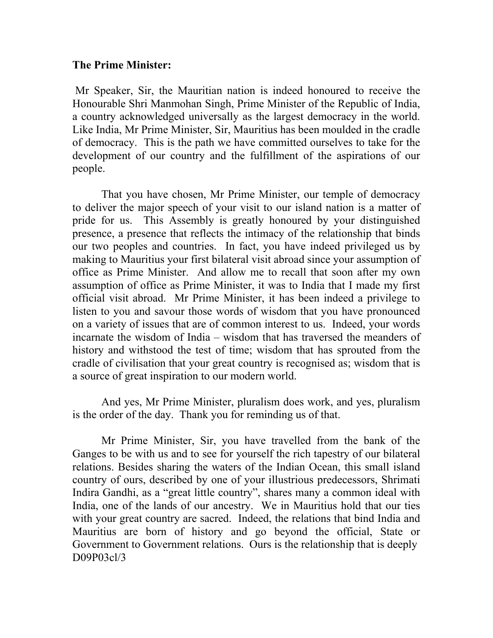## **The Prime Minister:**

Mr Speaker, Sir, the Mauritian nation is indeed honoured to receive the Honourable Shri Manmohan Singh, Prime Minister of the Republic of India, a country acknowledged universally as the largest democracy in the world. Like India, Mr Prime Minister, Sir, Mauritius has been moulded in the cradle of democracy. This is the path we have committed ourselves to take for the development of our country and the fulfillment of the aspirations of our people.

That you have chosen, Mr Prime Minister, our temple of democracy to deliver the major speech of your visit to our island nation is a matter of pride for us. This Assembly is greatly honoured by your distinguished presence, a presence that reflects the intimacy of the relationship that binds our two peoples and countries. In fact, you have indeed privileged us by making to Mauritius your first bilateral visit abroad since your assumption of office as Prime Minister. And allow me to recall that soon after my own assumption of office as Prime Minister, it was to India that I made my first official visit abroad. Mr Prime Minister, it has been indeed a privilege to listen to you and savour those words of wisdom that you have pronounced on a variety of issues that are of common interest to us. Indeed, your words incarnate the wisdom of India – wisdom that has traversed the meanders of history and withstood the test of time; wisdom that has sprouted from the cradle of civilisation that your great country is recognised as; wisdom that is a source of great inspiration to our modern world.

 And yes, Mr Prime Minister, pluralism does work, and yes, pluralism is the order of the day. Thank you for reminding us of that.

 Mr Prime Minister, Sir, you have travelled from the bank of the Ganges to be with us and to see for yourself the rich tapestry of our bilateral relations. Besides sharing the waters of the Indian Ocean, this small island country of ours, described by one of your illustrious predecessors, Shrimati Indira Gandhi, as a "great little country", shares many a common ideal with India, one of the lands of our ancestry. We in Mauritius hold that our ties with your great country are sacred. Indeed, the relations that bind India and Mauritius are born of history and go beyond the official, State or Government to Government relations. Ours is the relationship that is deeply D09P03cl/3